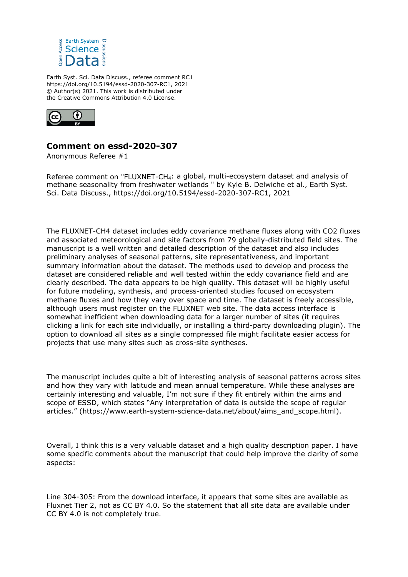

Earth Syst. Sci. Data Discuss., referee comment RC1 https://doi.org/10.5194/essd-2020-307-RC1, 2021 © Author(s) 2021. This work is distributed under the Creative Commons Attribution 4.0 License.



## **Comment on essd-2020-307**

Anonymous Referee #1

Referee comment on "FLUXNET-CH4: a global, multi-ecosystem dataset and analysis of methane seasonality from freshwater wetlands " by Kyle B. Delwiche et al., Earth Syst. Sci. Data Discuss., https://doi.org/10.5194/essd-2020-307-RC1, 2021

The FLUXNET-CH4 dataset includes eddy covariance methane fluxes along with CO2 fluxes and associated meteorological and site factors from 79 globally-distributed field sites. The manuscript is a well written and detailed description of the dataset and also includes preliminary analyses of seasonal patterns, site representativeness, and important summary information about the dataset. The methods used to develop and process the dataset are considered reliable and well tested within the eddy covariance field and are clearly described. The data appears to be high quality. This dataset will be highly useful for future modeling, synthesis, and process-oriented studies focused on ecosystem methane fluxes and how they vary over space and time. The dataset is freely accessible, although users must register on the FLUXNET web site. The data access interface is somewhat inefficient when downloading data for a larger number of sites (it requires clicking a link for each site individually, or installing a third-party downloading plugin). The option to download all sites as a single compressed file might facilitate easier access for projects that use many sites such as cross-site syntheses.

The manuscript includes quite a bit of interesting analysis of seasonal patterns across sites and how they vary with latitude and mean annual temperature. While these analyses are certainly interesting and valuable, I'm not sure if they fit entirely within the aims and scope of ESSD, which states "Any interpretation of data is outside the scope of regular articles." (https://www.earth-system-science-data.net/about/aims\_and\_scope.html).

Overall, I think this is a very valuable dataset and a high quality description paper. I have some specific comments about the manuscript that could help improve the clarity of some aspects:

Line 304-305: From the download interface, it appears that some sites are available as Fluxnet Tier 2, not as CC BY 4.0. So the statement that all site data are available under CC BY 4.0 is not completely true.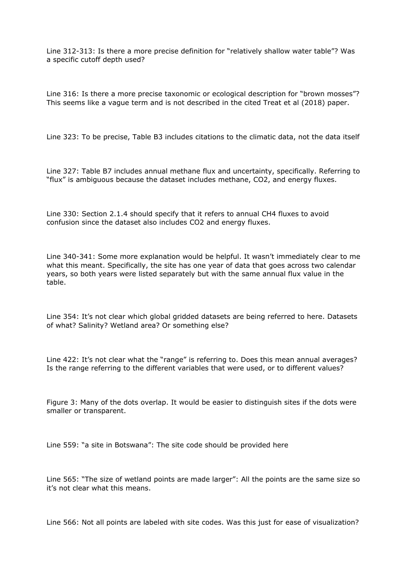Line 312-313: Is there a more precise definition for "relatively shallow water table"? Was a specific cutoff depth used?

Line 316: Is there a more precise taxonomic or ecological description for "brown mosses"? This seems like a vague term and is not described in the cited Treat et al (2018) paper.

Line 323: To be precise, Table B3 includes citations to the climatic data, not the data itself

Line 327: Table B7 includes annual methane flux and uncertainty, specifically. Referring to "flux" is ambiguous because the dataset includes methane, CO2, and energy fluxes.

Line 330: Section 2.1.4 should specify that it refers to annual CH4 fluxes to avoid confusion since the dataset also includes CO2 and energy fluxes.

Line 340-341: Some more explanation would be helpful. It wasn't immediately clear to me what this meant. Specifically, the site has one year of data that goes across two calendar years, so both years were listed separately but with the same annual flux value in the table.

Line 354: It's not clear which global gridded datasets are being referred to here. Datasets of what? Salinity? Wetland area? Or something else?

Line 422: It's not clear what the "range" is referring to. Does this mean annual averages? Is the range referring to the different variables that were used, or to different values?

Figure 3: Many of the dots overlap. It would be easier to distinguish sites if the dots were smaller or transparent.

Line 559: "a site in Botswana": The site code should be provided here

Line 565: "The size of wetland points are made larger": All the points are the same size so it's not clear what this means.

Line 566: Not all points are labeled with site codes. Was this just for ease of visualization?